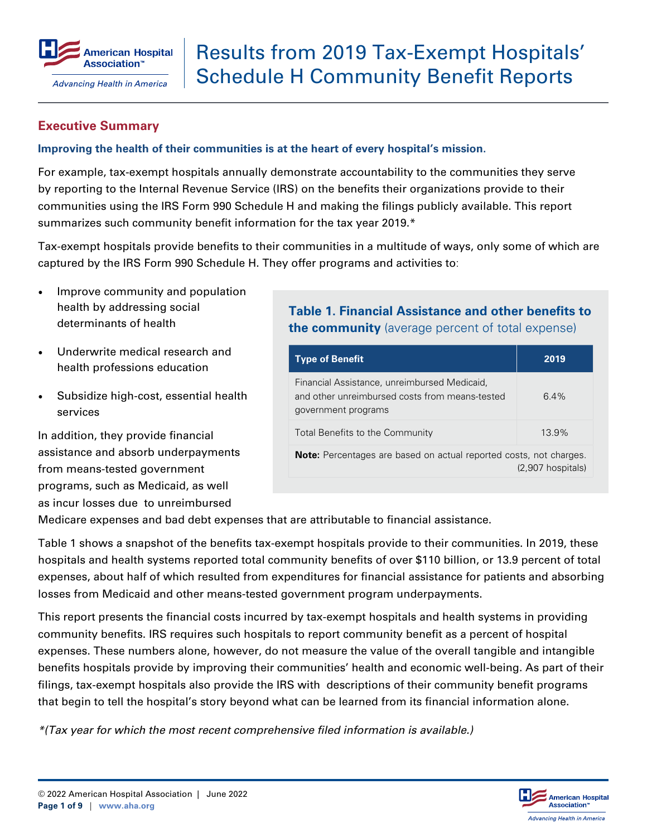

### **Executive Summary**

#### **Improving the health of their communities is at the heart of every hospital's mission.**

For example, tax-exempt hospitals annually demonstrate accountability to the communities they serve by reporting to the Internal Revenue Service (IRS) on the benefits their organizations provide to their communities using the IRS Form 990 Schedule H and making the filings publicly available. This report summarizes such community benefit information for the tax year 2019.\*

Tax-exempt hospitals provide benefits to their communities in a multitude of ways, only some of which are captured by the IRS Form 990 Schedule H. They offer programs and activities to:

- Improve community and population health by addressing social determinants of health
- Underwrite medical research and health professions education
- Subsidize high-cost, essential health services

In addition, they provide financial assistance and absorb underpayments from means-tested government programs, such as Medicaid, as well as incur losses due to unreimbursed

## **Table 1. Financial Assistance and other benefits to the community** (average percent of total expense)

| 2019                                                                                             |  |  |  |  |  |  |
|--------------------------------------------------------------------------------------------------|--|--|--|--|--|--|
| 6.4%                                                                                             |  |  |  |  |  |  |
| 13.9%                                                                                            |  |  |  |  |  |  |
| <b>Note:</b> Percentages are based on actual reported costs, not charges.<br>$(2,907$ hospitals) |  |  |  |  |  |  |
|                                                                                                  |  |  |  |  |  |  |

Medicare expenses and bad debt expenses that are attributable to financial assistance.

Table 1 shows a snapshot of the benefits tax-exempt hospitals provide to their communities. In 2019, these hospitals and health systems reported total community benefits of over \$110 billion, or 13.9 percent of total expenses, about half of which resulted from expenditures for financial assistance for patients and absorbing losses from Medicaid and other means-tested government program underpayments.

This report presents the financial costs incurred by tax-exempt hospitals and health systems in providing community benefits. IRS requires such hospitals to report community benefit as a percent of hospital expenses. These numbers alone, however, do not measure the value of the overall tangible and intangible benefits hospitals provide by improving their communities' health and economic well-being. As part of their filings, tax-exempt hospitals also provide the IRS with descriptions of their community benefit programs that begin to tell the hospital's story beyond what can be learned from its financial information alone.

*\*(Tax year for which the most recent comprehensive filed information is available.)*

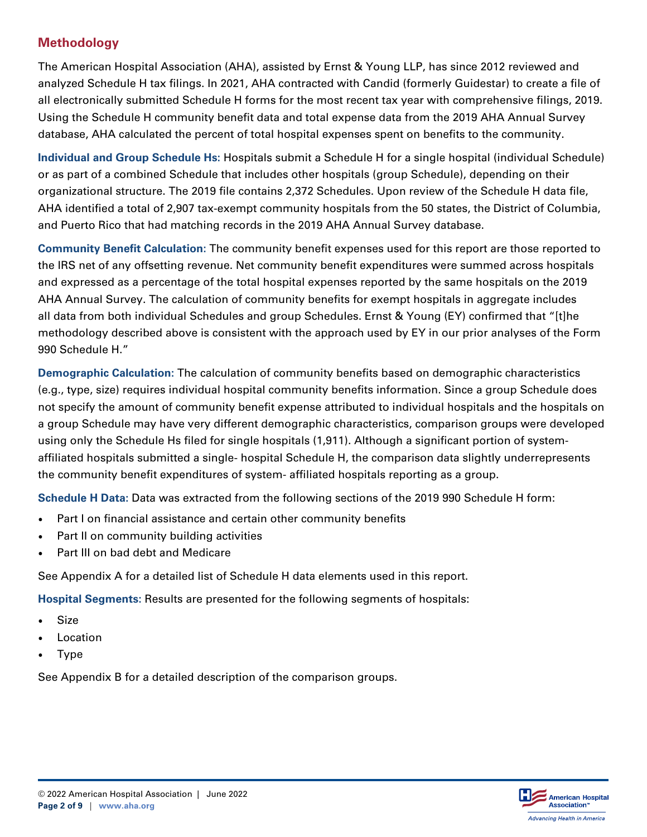# **Methodology**

The American Hospital Association (AHA), assisted by Ernst & Young LLP, has since 2012 reviewed and analyzed Schedule H tax filings. In 2021, AHA contracted with Candid (formerly Guidestar) to create a file of all electronically submitted Schedule H forms for the most recent tax year with comprehensive filings, 2019. Using the Schedule H community benefit data and total expense data from the 2019 AHA Annual Survey database, AHA calculated the percent of total hospital expenses spent on benefits to the community.

**Individual and Group Schedule Hs:** Hospitals submit a Schedule H for a single hospital (individual Schedule) or as part of a combined Schedule that includes other hospitals (group Schedule), depending on their organizational structure. The 2019 file contains 2,372 Schedules. Upon review of the Schedule H data file, AHA identified a total of 2,907 tax-exempt community hospitals from the 50 states, the District of Columbia, and Puerto Rico that had matching records in the 2019 AHA Annual Survey database.

**Community Benefit Calculation:** The community benefit expenses used for this report are those reported to the IRS net of any offsetting revenue. Net community benefit expenditures were summed across hospitals and expressed as a percentage of the total hospital expenses reported by the same hospitals on the 2019 AHA Annual Survey. The calculation of community benefits for exempt hospitals in aggregate includes all data from both individual Schedules and group Schedules. Ernst & Young (EY) confirmed that "[t]he methodology described above is consistent with the approach used by EY in our prior analyses of the Form 990 Schedule H."

**Demographic Calculation:** The calculation of community benefits based on demographic characteristics (e.g., type, size) requires individual hospital community benefits information. Since a group Schedule does not specify the amount of community benefit expense attributed to individual hospitals and the hospitals on a group Schedule may have very different demographic characteristics, comparison groups were developed using only the Schedule Hs filed for single hospitals (1,911). Although a significant portion of systemaffiliated hospitals submitted a single- hospital Schedule H, the comparison data slightly underrepresents the community benefit expenditures of system- affiliated hospitals reporting as a group.

**Schedule H Data:** Data was extracted from the following sections of the 2019 990 Schedule H form:

- Part I on financial assistance and certain other community benefits
- Part II on community building activities
- Part III on bad debt and Medicare

See Appendix A for a detailed list of Schedule H data elements used in this report.

**Hospital Segments:** Results are presented for the following segments of hospitals:

- **Size**
- **Location**
- **Type**

See Appendix B for a detailed description of the comparison groups.

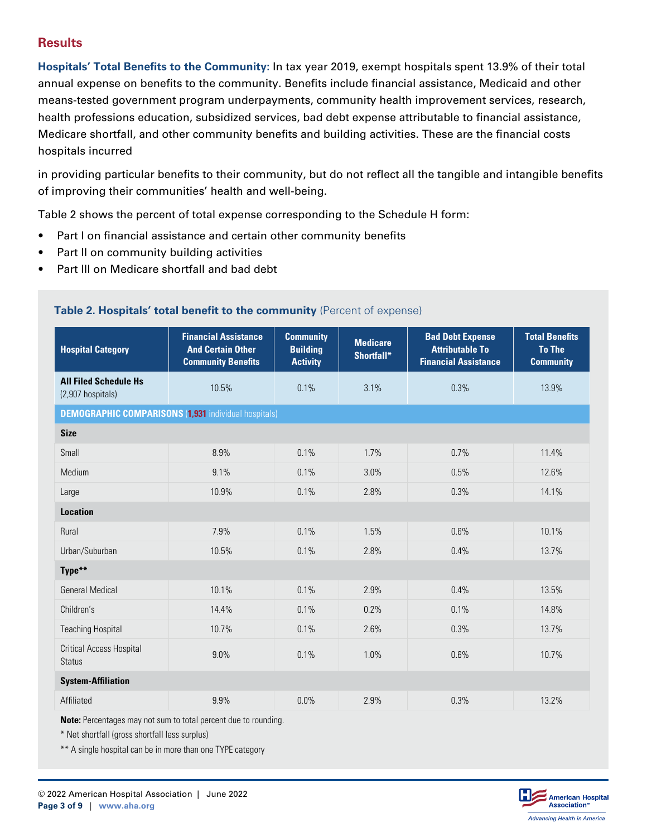## **Results**

**Hospitals' Total Benefits to the Community:** In tax year 2019, exempt hospitals spent 13.9% of their total annual expense on benefits to the community. Benefits include financial assistance, Medicaid and other means-tested government program underpayments, community health improvement services, research, health professions education, subsidized services, bad debt expense attributable to financial assistance, Medicare shortfall, and other community benefits and building activities. These are the financial costs hospitals incurred

in providing particular benefits to their community, but do not reflect all the tangible and intangible benefits of improving their communities' health and well-being.

Table 2 shows the percent of total expense corresponding to the Schedule H form:

- Part I on financial assistance and certain other community benefits
- Part II on community building activities
- Part III on Medicare shortfall and bad debt

| <b>Financial Assistance</b><br><b>And Certain Other</b><br><b>Community Benefits</b> | <b>Community</b><br><b>Building</b><br><b>Activity</b> | <b>Medicare</b><br>Shortfall* | <b>Bad Debt Expense</b><br><b>Attributable To</b><br><b>Financial Assistance</b> | <b>Total Benefits</b><br><b>To The</b><br><b>Community</b> |  |  |  |  |  |
|--------------------------------------------------------------------------------------|--------------------------------------------------------|-------------------------------|----------------------------------------------------------------------------------|------------------------------------------------------------|--|--|--|--|--|
| 10.5%                                                                                | 0.1%                                                   | 3.1%                          | 0.3%                                                                             | 13.9%                                                      |  |  |  |  |  |
| <b>DEMOGRAPHIC COMPARISONS (1,931 individual hospitals)</b>                          |                                                        |                               |                                                                                  |                                                            |  |  |  |  |  |
| <b>Size</b>                                                                          |                                                        |                               |                                                                                  |                                                            |  |  |  |  |  |
| 8.9%                                                                                 | 0.1%                                                   | 1.7%                          | 0.7%                                                                             | 11.4%                                                      |  |  |  |  |  |
| 9.1%                                                                                 | 0.1%                                                   | 3.0%                          | 0.5%                                                                             | 12.6%                                                      |  |  |  |  |  |
| 10.9%                                                                                | 0.1%                                                   | 2.8%                          | 0.3%                                                                             | 14.1%                                                      |  |  |  |  |  |
| <b>Location</b>                                                                      |                                                        |                               |                                                                                  |                                                            |  |  |  |  |  |
| 7.9%                                                                                 | 0.1%                                                   | 1.5%                          | 0.6%                                                                             | 10.1%                                                      |  |  |  |  |  |
| 10.5%                                                                                | 0.1%                                                   | 2.8%                          | 0.4%                                                                             | 13.7%                                                      |  |  |  |  |  |
| Type**                                                                               |                                                        |                               |                                                                                  |                                                            |  |  |  |  |  |
| 10.1%                                                                                | 0.1%                                                   | 2.9%                          | 0.4%                                                                             | 13.5%                                                      |  |  |  |  |  |
| 14.4%                                                                                | 0.1%                                                   | 0.2%                          | 0.1%                                                                             | 14.8%                                                      |  |  |  |  |  |
| 10.7%                                                                                | 0.1%                                                   | 2.6%                          | 0.3%                                                                             | 13.7%                                                      |  |  |  |  |  |
| 9.0%                                                                                 | 0.1%                                                   | 1.0%                          | 0.6%                                                                             | 10.7%                                                      |  |  |  |  |  |
| <b>System-Affiliation</b>                                                            |                                                        |                               |                                                                                  |                                                            |  |  |  |  |  |
| 9.9%                                                                                 | 0.0%                                                   | 2.9%                          | 0.3%                                                                             | 13.2%                                                      |  |  |  |  |  |
|                                                                                      |                                                        |                               |                                                                                  |                                                            |  |  |  |  |  |

#### **Table 2. Hospitals' total benefit to the community** (Percent of expense)

**Note:** Percentages may not sum to total percent due to rounding.

\* Net shortfall (gross shortfall less surplus)

\*\* A single hospital can be in more than one TYPE category

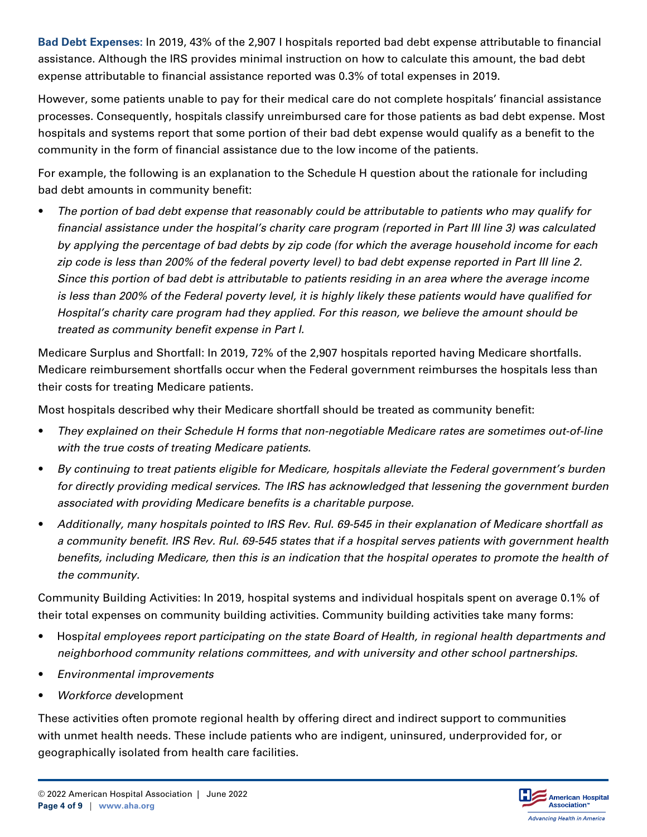**Bad Debt Expenses:** In 2019, 43% of the 2,907 l hospitals reported bad debt expense attributable to financial assistance. Although the IRS provides minimal instruction on how to calculate this amount, the bad debt expense attributable to financial assistance reported was 0.3% of total expenses in 2019.

However, some patients unable to pay for their medical care do not complete hospitals' financial assistance processes. Consequently, hospitals classify unreimbursed care for those patients as bad debt expense. Most hospitals and systems report that some portion of their bad debt expense would qualify as a benefit to the community in the form of financial assistance due to the low income of the patients.

For example, the following is an explanation to the Schedule H question about the rationale for including bad debt amounts in community benefit:

• *The portion of bad debt expense that reasonably could be attributable to patients who may qualify for financial assistance under the hospital's charity care program (reported in Part III line 3) was calculated by applying the percentage of bad debts by zip code (for which the average household income for each zip code is less than 200% of the federal poverty level) to bad debt expense reported in Part III line 2. Since this portion of bad debt is attributable to patients residing in an area where the average income is less than 200% of the Federal poverty level, it is highly likely these patients would have qualified for Hospital's charity care program had they applied. For this reason, we believe the amount should be treated as community benefit expense in Part I.*

Medicare Surplus and Shortfall: In 2019, 72% of the 2,907 hospitals reported having Medicare shortfalls. Medicare reimbursement shortfalls occur when the Federal government reimburses the hospitals less than their costs for treating Medicare patients.

Most hospitals described why their Medicare shortfall should be treated as community benefit:

- *They explained on their Schedule H forms that non-negotiable Medicare rates are sometimes out-of-line with the true costs of treating Medicare patients.*
- *By continuing to treat patients eligible for Medicare, hospitals alleviate the Federal government's burden for directly providing medical services. The IRS has acknowledged that lessening the government burden associated with providing Medicare benefits is a charitable purpose.*
- *Additionally, many hospitals pointed to IRS Rev. Rul. 69-545 in their explanation of Medicare shortfall as a community benefit. IRS Rev. Rul. 69-545 states that if a hospital serves patients with government health benefits, including Medicare, then this is an indication that the hospital operates to promote the health of the community.*

Community Building Activities: In 2019, hospital systems and individual hospitals spent on average 0.1% of their total expenses on community building activities. Community building activities take many forms:

- Hosp*ital employees report participating on the state Board of Health, in regional health departments and neighborhood community relations committees, and with university and other school partnerships.*
- *Environmental improvements*
- *Workforce dev*elopment

These activities often promote regional health by offering direct and indirect support to communities with unmet health needs. These include patients who are indigent, uninsured, underprovided for, or geographically isolated from health care facilities.

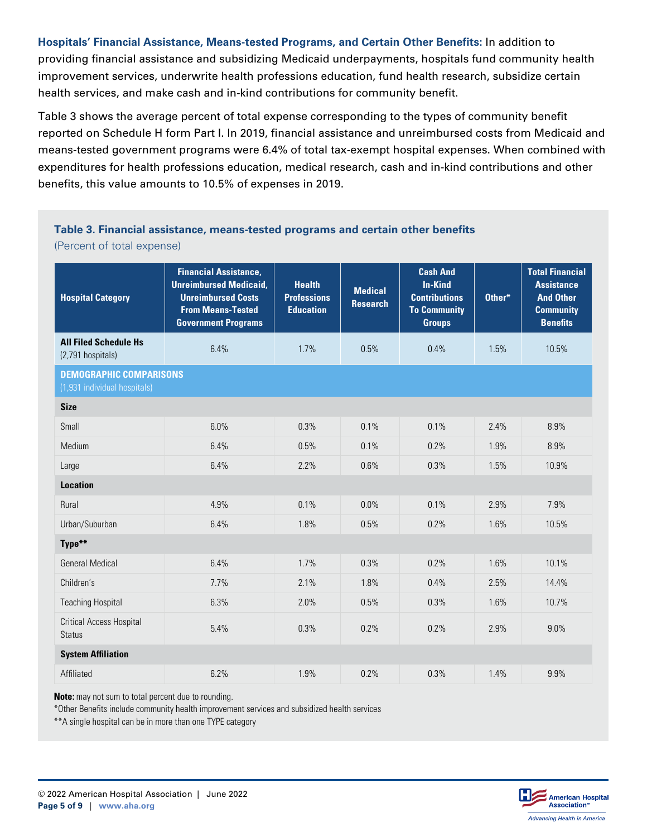**Hospitals' Financial Assistance, Means-tested Programs, and Certain Other Benefits:** In addition to providing financial assistance and subsidizing Medicaid underpayments, hospitals fund community health improvement services, underwrite health professions education, fund health research, subsidize certain health services, and make cash and in-kind contributions for community benefit.

Table 3 shows the average percent of total expense corresponding to the types of community benefit reported on Schedule H form Part I. In 2019, financial assistance and unreimbursed costs from Medicaid and means-tested government programs were 6.4% of total tax-exempt hospital expenses. When combined with expenditures for health professions education, medical research, cash and in-kind contributions and other benefits, this value amounts to 10.5% of expenses in 2019.

#### **Table 3. Financial assistance, means-tested programs and certain other benefits** (Percent of total expense)

| <b>Hospital Category</b>                                       | <b>Financial Assistance,</b><br><b>Unreimbursed Medicaid,</b><br><b>Unreimbursed Costs</b><br><b>From Means-Tested</b><br><b>Government Programs</b> | <b>Health</b><br><b>Professions</b><br><b>Education</b> | <b>Medical</b><br><b>Research</b> | <b>Cash And</b><br><b>In-Kind</b><br><b>Contributions</b><br><b>To Community</b><br><b>Groups</b> | Other* | <b>Total Financial</b><br><b>Assistance</b><br><b>And Other</b><br><b>Community</b><br><b>Benefits</b> |  |  |  |
|----------------------------------------------------------------|------------------------------------------------------------------------------------------------------------------------------------------------------|---------------------------------------------------------|-----------------------------------|---------------------------------------------------------------------------------------------------|--------|--------------------------------------------------------------------------------------------------------|--|--|--|
| <b>All Filed Schedule Hs</b><br>(2,791 hospitals)              | 6.4%                                                                                                                                                 | 1.7%                                                    | 0.5%                              | 0.4%                                                                                              | 1.5%   | 10.5%                                                                                                  |  |  |  |
| <b>DEMOGRAPHIC COMPARISONS</b><br>(1,931 individual hospitals) |                                                                                                                                                      |                                                         |                                   |                                                                                                   |        |                                                                                                        |  |  |  |
| <b>Size</b>                                                    |                                                                                                                                                      |                                                         |                                   |                                                                                                   |        |                                                                                                        |  |  |  |
| Small                                                          | 6.0%                                                                                                                                                 | 0.3%                                                    | 0.1%                              | 0.1%                                                                                              | 2.4%   | 8.9%                                                                                                   |  |  |  |
| Medium                                                         | 6.4%                                                                                                                                                 | 0.5%                                                    | 0.1%                              | 0.2%                                                                                              | 1.9%   | 8.9%                                                                                                   |  |  |  |
| Large                                                          | 6.4%                                                                                                                                                 | 2.2%                                                    | 0.6%                              | 0.3%                                                                                              | 1.5%   | 10.9%                                                                                                  |  |  |  |
| <b>Location</b>                                                |                                                                                                                                                      |                                                         |                                   |                                                                                                   |        |                                                                                                        |  |  |  |
| Rural                                                          | 4.9%                                                                                                                                                 | 0.1%                                                    | 0.0%                              | 0.1%                                                                                              | 2.9%   | 7.9%                                                                                                   |  |  |  |
| Urban/Suburban                                                 | 6.4%                                                                                                                                                 | 1.8%                                                    | 0.5%                              | 0.2%                                                                                              | 1.6%   | 10.5%                                                                                                  |  |  |  |
| Type**                                                         |                                                                                                                                                      |                                                         |                                   |                                                                                                   |        |                                                                                                        |  |  |  |
| <b>General Medical</b>                                         | 6.4%                                                                                                                                                 | 1.7%                                                    | 0.3%                              | 0.2%                                                                                              | 1.6%   | 10.1%                                                                                                  |  |  |  |
| Children's                                                     | 7.7%                                                                                                                                                 | 2.1%                                                    | 1.8%                              | 0.4%                                                                                              | 2.5%   | 14.4%                                                                                                  |  |  |  |
| <b>Teaching Hospital</b>                                       | 6.3%                                                                                                                                                 | 2.0%                                                    | 0.5%                              | 0.3%                                                                                              | 1.6%   | 10.7%                                                                                                  |  |  |  |
| <b>Critical Access Hospital</b><br><b>Status</b>               | 5.4%                                                                                                                                                 | 0.3%                                                    | 0.2%                              | 0.2%                                                                                              | 2.9%   | 9.0%                                                                                                   |  |  |  |
| <b>System Affiliation</b>                                      |                                                                                                                                                      |                                                         |                                   |                                                                                                   |        |                                                                                                        |  |  |  |
| Affiliated                                                     | 6.2%                                                                                                                                                 | 1.9%                                                    | 0.2%                              | 0.3%                                                                                              | 1.4%   | 9.9%                                                                                                   |  |  |  |

**Note:** may not sum to total percent due to rounding.

\*Other Benefits include community health improvement services and subsidized health services

\*\*A single hospital can be in more than one TYPE category

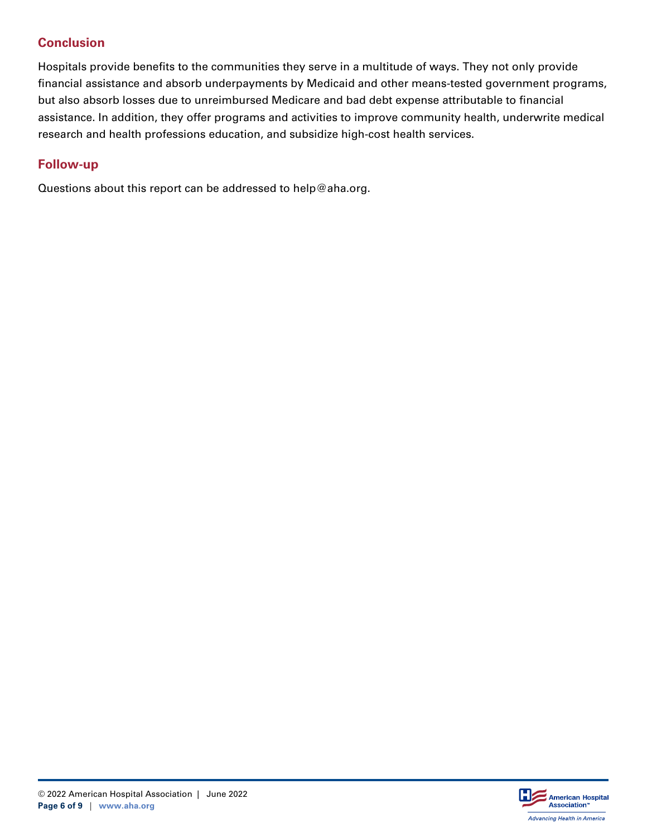## **Conclusion**

Hospitals provide benefits to the communities they serve in a multitude of ways. They not only provide financial assistance and absorb underpayments by Medicaid and other means-tested government programs, but also absorb losses due to unreimbursed Medicare and bad debt expense attributable to financial assistance. In addition, they offer programs and activities to improve community health, underwrite medical research and health professions education, and subsidize high-cost health services.

### **Follow-up**

Questions about this report can be addressed to help@aha.org.

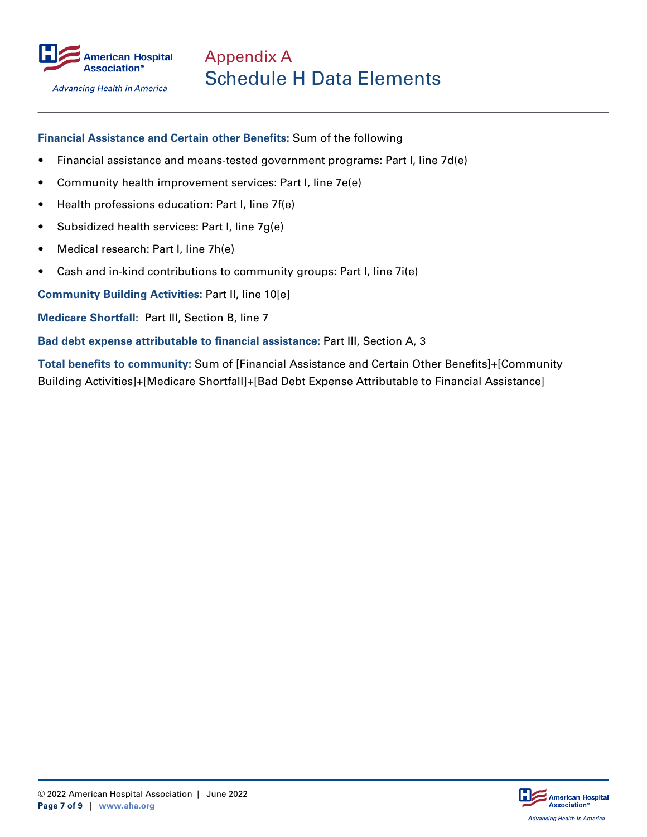

**Advancing Health in America** 

#### **Financial Assistance and Certain other Benefits:** Sum of the following

- Financial assistance and means-tested government programs: Part I, line 7d(e)
- Community health improvement services: Part I, line 7e(e)
- Health professions education: Part I, line 7f(e)
- Subsidized health services: Part I, line 7g(e)
- Medical research: Part I, line 7h(e)
- Cash and in-kind contributions to community groups: Part I, line 7i(e)

**Community Building Activities:** Part II, line 10[e]

**Medicare Shortfall:** Part III, Section B, line 7

**Bad debt expense attributable to financial assistance:** Part III, Section A, 3

**Total benefits to community:** Sum of [Financial Assistance and Certain Other Benefits]+[Community Building Activities]+[Medicare Shortfall]+[Bad Debt Expense Attributable to Financial Assistance]

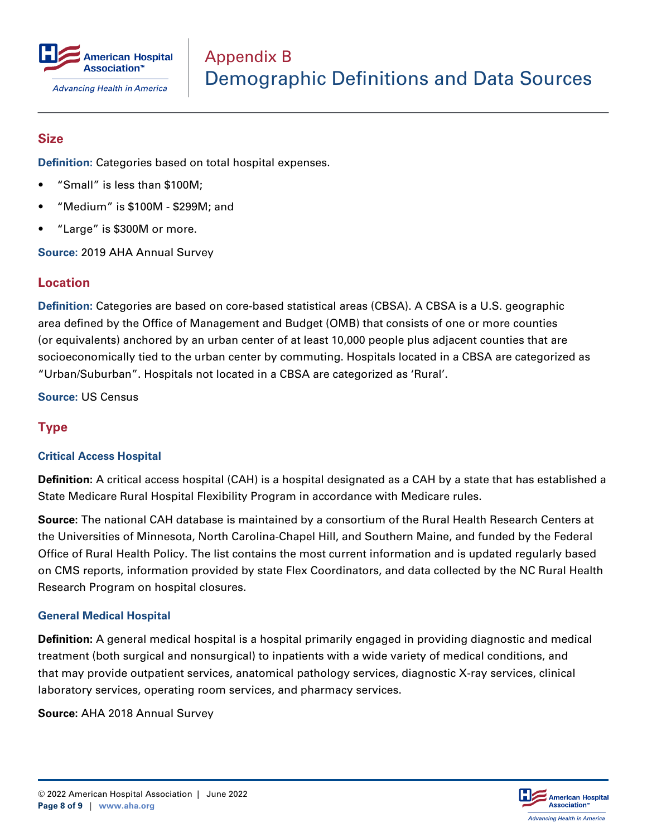

### **Size**

**Definition:** Categories based on total hospital expenses.

- "Small" is less than \$100M;
- "Medium" is \$100M \$299M; and
- "Large" is \$300M or more.

**Source:** 2019 AHA Annual Survey

### **Location**

**Definition:** Categories are based on core-based statistical areas (CBSA). A CBSA is a U.S. geographic area defined by the Office of Management and Budget (OMB) that consists of one or more counties (or equivalents) anchored by an urban center of at least 10,000 people plus adjacent counties that are socioeconomically tied to the urban center by commuting. Hospitals located in a CBSA are categorized as "Urban/Suburban". Hospitals not located in a CBSA are categorized as 'Rural'.

**Source:** US Census

## **Type**

#### **Critical Access Hospital**

**Definition:** A critical access hospital (CAH) is a hospital designated as a CAH by a state that has established a State Medicare Rural Hospital Flexibility Program in accordance with Medicare rules.

**Source:** The national CAH database is maintained by a consortium of the Rural Health Research Centers at the Universities of Minnesota, North Carolina-Chapel Hill, and Southern Maine, and funded by the Federal Office of Rural Health Policy. The list contains the most current information and is updated regularly based on CMS reports, information provided by state Flex Coordinators, and data collected by the NC Rural Health Research Program on hospital closures.

#### **General Medical Hospital**

**Definition:** A general medical hospital is a hospital primarily engaged in providing diagnostic and medical treatment (both surgical and nonsurgical) to inpatients with a wide variety of medical conditions, and that may provide outpatient services, anatomical pathology services, diagnostic X-ray services, clinical laboratory services, operating room services, and pharmacy services.

**Source:** AHA 2018 Annual Survey